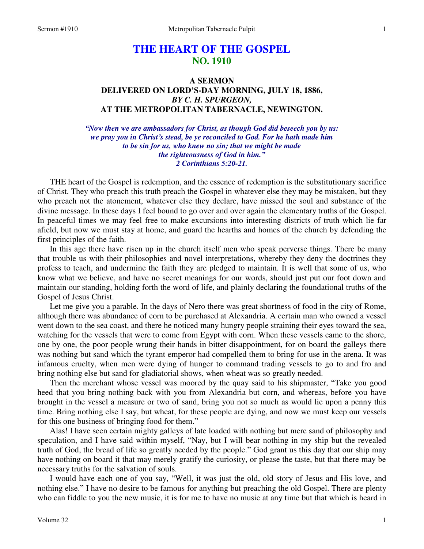# **THE HEART OF THE GOSPEL NO. 1910**

# **A SERMON DELIVERED ON LORD'S-DAY MORNING, JULY 18, 1886,**  *BY C. H. SPURGEON,*  **AT THE METROPOLITAN TABERNACLE, NEWINGTON.**

*"Now then we are ambassadors for Christ, as though God did beseech you by us: we pray you in Christ's stead, be ye reconciled to God. For he hath made him to be sin for us, who knew no sin; that we might be made the righteousness of God in him." 2 Corinthians 5:20-21.* 

THE heart of the Gospel is redemption, and the essence of redemption is the substitutionary sacrifice of Christ. They who preach this truth preach the Gospel in whatever else they may be mistaken, but they who preach not the atonement, whatever else they declare, have missed the soul and substance of the divine message. In these days I feel bound to go over and over again the elementary truths of the Gospel. In peaceful times we may feel free to make excursions into interesting districts of truth which lie far afield, but now we must stay at home, and guard the hearths and homes of the church by defending the first principles of the faith.

 In this age there have risen up in the church itself men who speak perverse things. There be many that trouble us with their philosophies and novel interpretations, whereby they deny the doctrines they profess to teach, and undermine the faith they are pledged to maintain. It is well that some of us, who know what we believe, and have no secret meanings for our words, should just put our foot down and maintain our standing, holding forth the word of life, and plainly declaring the foundational truths of the Gospel of Jesus Christ.

 Let me give you a parable. In the days of Nero there was great shortness of food in the city of Rome, although there was abundance of corn to be purchased at Alexandria. A certain man who owned a vessel went down to the sea coast, and there he noticed many hungry people straining their eyes toward the sea, watching for the vessels that were to come from Egypt with corn. When these vessels came to the shore, one by one, the poor people wrung their hands in bitter disappointment, for on board the galleys there was nothing but sand which the tyrant emperor had compelled them to bring for use in the arena. It was infamous cruelty, when men were dying of hunger to command trading vessels to go to and fro and bring nothing else but sand for gladiatorial shows, when wheat was so greatly needed.

 Then the merchant whose vessel was moored by the quay said to his shipmaster, "Take you good heed that you bring nothing back with you from Alexandria but corn, and whereas, before you have brought in the vessel a measure or two of sand, bring you not so much as would lie upon a penny this time. Bring nothing else I say, but wheat, for these people are dying, and now we must keep our vessels for this one business of bringing food for them."

 Alas! I have seen certain mighty galleys of late loaded with nothing but mere sand of philosophy and speculation, and I have said within myself, "Nay, but I will bear nothing in my ship but the revealed truth of God, the bread of life so greatly needed by the people." God grant us this day that our ship may have nothing on board it that may merely gratify the curiosity, or please the taste, but that there may be necessary truths for the salvation of souls.

 I would have each one of you say, "Well, it was just the old, old story of Jesus and His love, and nothing else." I have no desire to be famous for anything but preaching the old Gospel. There are plenty who can fiddle to you the new music, it is for me to have no music at any time but that which is heard in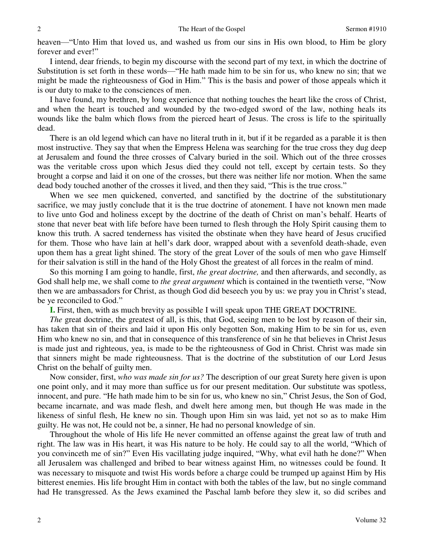heaven—"Unto Him that loved us, and washed us from our sins in His own blood, to Him be glory forever and ever!"

 I intend, dear friends, to begin my discourse with the second part of my text, in which the doctrine of Substitution is set forth in these words—"He hath made him to be sin for us, who knew no sin; that we might be made the righteousness of God in Him." This is the basis and power of those appeals which it is our duty to make to the consciences of men.

 I have found, my brethren, by long experience that nothing touches the heart like the cross of Christ, and when the heart is touched and wounded by the two-edged sword of the law, nothing heals its wounds like the balm which flows from the pierced heart of Jesus. The cross is life to the spiritually dead.

 There is an old legend which can have no literal truth in it, but if it be regarded as a parable it is then most instructive. They say that when the Empress Helena was searching for the true cross they dug deep at Jerusalem and found the three crosses of Calvary buried in the soil. Which out of the three crosses was the veritable cross upon which Jesus died they could not tell, except by certain tests. So they brought a corpse and laid it on one of the crosses, but there was neither life nor motion. When the same dead body touched another of the crosses it lived, and then they said, "This is the true cross."

When we see men quickened, converted, and sanctified by the doctrine of the substitutionary sacrifice, we may justly conclude that it is the true doctrine of atonement. I have not known men made to live unto God and holiness except by the doctrine of the death of Christ on man's behalf. Hearts of stone that never beat with life before have been turned to flesh through the Holy Spirit causing them to know this truth. A sacred tenderness has visited the obstinate when they have heard of Jesus crucified for them. Those who have lain at hell's dark door, wrapped about with a sevenfold death-shade, even upon them has a great light shined. The story of the great Lover of the souls of men who gave Himself for their salvation is still in the hand of the Holy Ghost the greatest of all forces in the realm of mind.

So this morning I am going to handle, first, *the great doctrine,* and then afterwards, and secondly, as God shall help me, we shall come to *the great argument* which is contained in the twentieth verse, "Now then we are ambassadors for Christ, as though God did beseech you by us: we pray you in Christ's stead, be ye reconciled to God."

**I.** First, then, with as much brevity as possible I will speak upon THE GREAT DOCTRINE.

 *The* great doctrine, the greatest of all, is this, that God, seeing men to be lost by reason of their sin, has taken that sin of theirs and laid it upon His only begotten Son, making Him to be sin for us, even Him who knew no sin, and that in consequence of this transference of sin he that believes in Christ Jesus is made just and righteous, yea, is made to be the righteousness of God in Christ. Christ was made sin that sinners might be made righteousness. That is the doctrine of the substitution of our Lord Jesus Christ on the behalf of guilty men.

 Now consider, first, *who was made sin for us?* The description of our great Surety here given is upon one point only, and it may more than suffice us for our present meditation. Our substitute was spotless, innocent, and pure. "He hath made him to be sin for us, who knew no sin," Christ Jesus, the Son of God, became incarnate, and was made flesh, and dwelt here among men, but though He was made in the likeness of sinful flesh, He knew no sin. Though upon Him sin was laid, yet not so as to make Him guilty. He was not, He could not be, a sinner, He had no personal knowledge of sin.

 Throughout the whole of His life He never committed an offense against the great law of truth and right. The law was in His heart, it was His nature to be holy. He could say to all the world, "Which of you convinceth me of sin?" Even His vacillating judge inquired, "Why, what evil hath he done?" When all Jerusalem was challenged and bribed to bear witness against Him, no witnesses could be found. It was necessary to misquote and twist His words before a charge could be trumped up against Him by His bitterest enemies. His life brought Him in contact with both the tables of the law, but no single command had He transgressed. As the Jews examined the Paschal lamb before they slew it, so did scribes and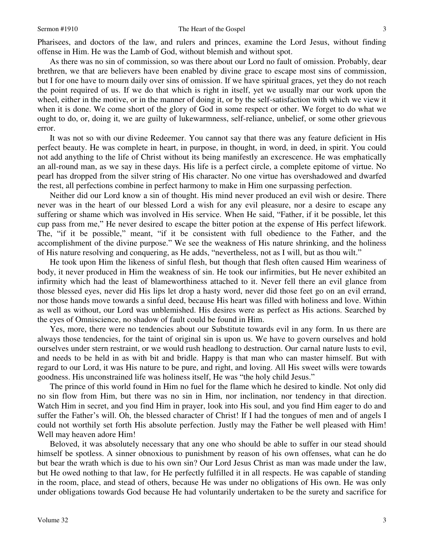Pharisees, and doctors of the law, and rulers and princes, examine the Lord Jesus, without finding offense in Him. He was the Lamb of God, without blemish and without spot.

 As there was no sin of commission, so was there about our Lord no fault of omission. Probably, dear brethren, we that are believers have been enabled by divine grace to escape most sins of commission, but I for one have to mourn daily over sins of omission. If we have spiritual graces, yet they do not reach the point required of us. If we do that which is right in itself, yet we usually mar our work upon the wheel, either in the motive, or in the manner of doing it, or by the self-satisfaction with which we view it when it is done. We come short of the glory of God in some respect or other. We forget to do what we ought to do, or, doing it, we are guilty of lukewarmness, self-reliance, unbelief, or some other grievous error.

 It was not so with our divine Redeemer. You cannot say that there was any feature deficient in His perfect beauty. He was complete in heart, in purpose, in thought, in word, in deed, in spirit. You could not add anything to the life of Christ without its being manifestly an excrescence. He was emphatically an all-round man, as we say in these days. His life is a perfect circle, a complete epitome of virtue. No pearl has dropped from the silver string of His character. No one virtue has overshadowed and dwarfed the rest, all perfections combine in perfect harmony to make in Him one surpassing perfection.

 Neither did our Lord know a sin of thought. His mind never produced an evil wish or desire. There never was in the heart of our blessed Lord a wish for any evil pleasure, nor a desire to escape any suffering or shame which was involved in His service. When He said, "Father, if it be possible, let this cup pass from me," He never desired to escape the bitter potion at the expense of His perfect lifework. The, "if it be possible," meant, "if it be consistent with full obedience to the Father, and the accomplishment of the divine purpose." We see the weakness of His nature shrinking, and the holiness of His nature resolving and conquering, as He adds, "nevertheless, not as I will, but as thou wilt."

 He took upon Him the likeness of sinful flesh, but though that flesh often caused Him weariness of body, it never produced in Him the weakness of sin. He took our infirmities, but He never exhibited an infirmity which had the least of blameworthiness attached to it. Never fell there an evil glance from those blessed eyes, never did His lips let drop a hasty word, never did those feet go on an evil errand, nor those hands move towards a sinful deed, because His heart was filled with holiness and love. Within as well as without, our Lord was unblemished. His desires were as perfect as His actions. Searched by the eyes of Omniscience, no shadow of fault could be found in Him.

 Yes, more, there were no tendencies about our Substitute towards evil in any form. In us there are always those tendencies, for the taint of original sin is upon us. We have to govern ourselves and hold ourselves under stern restraint, or we would rush headlong to destruction. Our carnal nature lusts to evil, and needs to be held in as with bit and bridle. Happy is that man who can master himself. But with regard to our Lord, it was His nature to be pure, and right, and loving. All His sweet wills were towards goodness. His unconstrained life was holiness itself, He was "the holy child Jesus."

 The prince of this world found in Him no fuel for the flame which he desired to kindle. Not only did no sin flow from Him, but there was no sin in Him, nor inclination, nor tendency in that direction. Watch Him in secret, and you find Him in prayer, look into His soul, and you find Him eager to do and suffer the Father's will. Oh, the blessed character of Christ! If I had the tongues of men and of angels I could not worthily set forth His absolute perfection. Justly may the Father be well pleased with Him! Well may heaven adore Him!

 Beloved, it was absolutely necessary that any one who should be able to suffer in our stead should himself be spotless. A sinner obnoxious to punishment by reason of his own offenses, what can he do but bear the wrath which is due to his own sin? Our Lord Jesus Christ as man was made under the law, but He owed nothing to that law, for He perfectly fulfilled it in all respects. He was capable of standing in the room, place, and stead of others, because He was under no obligations of His own. He was only under obligations towards God because He had voluntarily undertaken to be the surety and sacrifice for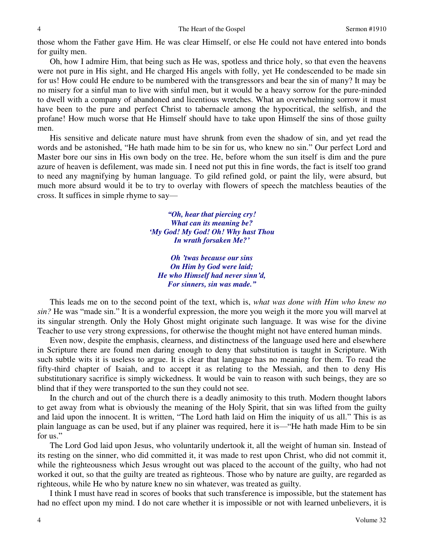those whom the Father gave Him. He was clear Himself, or else He could not have entered into bonds for guilty men.

 Oh, how I admire Him, that being such as He was, spotless and thrice holy, so that even the heavens were not pure in His sight, and He charged His angels with folly, yet He condescended to be made sin for us! How could He endure to be numbered with the transgressors and bear the sin of many? It may be no misery for a sinful man to live with sinful men, but it would be a heavy sorrow for the pure-minded to dwell with a company of abandoned and licentious wretches. What an overwhelming sorrow it must have been to the pure and perfect Christ to tabernacle among the hypocritical, the selfish, and the profane! How much worse that He Himself should have to take upon Himself the sins of those guilty men.

 His sensitive and delicate nature must have shrunk from even the shadow of sin, and yet read the words and be astonished, "He hath made him to be sin for us, who knew no sin." Our perfect Lord and Master bore our sins in His own body on the tree. He, before whom the sun itself is dim and the pure azure of heaven is defilement, was made sin. I need not put this in fine words, the fact is itself too grand to need any magnifying by human language. To gild refined gold, or paint the lily, were absurd, but much more absurd would it be to try to overlay with flowers of speech the matchless beauties of the cross. It suffices in simple rhyme to say—

> *"Oh, hear that piercing cry! What can its meaning be? 'My God! My God! Oh! Why hast Thou In wrath forsaken Me?'*

*Oh 'twas because our sins On Him by God were laid; He who Himself had never sinn'd, For sinners, sin was made."*

 This leads me on to the second point of the text, which is, *what was done with Him who knew no sin?* He was "made sin." It is a wonderful expression, the more you weigh it the more you will marvel at its singular strength. Only the Holy Ghost might originate such language. It was wise for the divine Teacher to use very strong expressions, for otherwise the thought might not have entered human minds.

 Even now, despite the emphasis, clearness, and distinctness of the language used here and elsewhere in Scripture there are found men daring enough to deny that substitution is taught in Scripture. With such subtle wits it is useless to argue. It is clear that language has no meaning for them. To read the fifty-third chapter of Isaiah, and to accept it as relating to the Messiah, and then to deny His substitutionary sacrifice is simply wickedness. It would be vain to reason with such beings, they are so blind that if they were transported to the sun they could not see.

 In the church and out of the church there is a deadly animosity to this truth. Modern thought labors to get away from what is obviously the meaning of the Holy Spirit, that sin was lifted from the guilty and laid upon the innocent. It is written, "The Lord hath laid on Him the iniquity of us all." This is as plain language as can be used, but if any plainer was required, here it is—"He hath made Him to be sin for us."

 The Lord God laid upon Jesus, who voluntarily undertook it, all the weight of human sin. Instead of its resting on the sinner, who did committed it, it was made to rest upon Christ, who did not commit it, while the righteousness which Jesus wrought out was placed to the account of the guilty, who had not worked it out, so that the guilty are treated as righteous. Those who by nature are guilty, are regarded as righteous, while He who by nature knew no sin whatever, was treated as guilty.

 I think I must have read in scores of books that such transference is impossible, but the statement has had no effect upon my mind. I do not care whether it is impossible or not with learned unbelievers, it is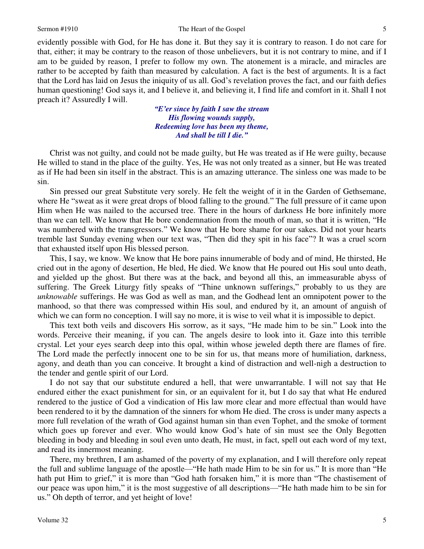#### Sermon #1910 **Sermon #1910** The Heart of the Gospel 5

evidently possible with God, for He has done it. But they say it is contrary to reason. I do not care for that, either; it may be contrary to the reason of those unbelievers, but it is not contrary to mine, and if I am to be guided by reason, I prefer to follow my own. The atonement is a miracle, and miracles are rather to be accepted by faith than measured by calculation. A fact is the best of arguments. It is a fact that the Lord has laid on Jesus the iniquity of us all. God's revelation proves the fact, and our faith defies human questioning! God says it, and I believe it, and believing it, I find life and comfort in it. Shall I not preach it? Assuredly I will.

> *"E'er since by faith I saw the stream His flowing wounds supply, Redeeming love has been my theme, And shall be till I die."*

 Christ was not guilty, and could not be made guilty, but He was treated as if He were guilty, because He willed to stand in the place of the guilty. Yes, He was not only treated as a sinner, but He was treated as if He had been sin itself in the abstract. This is an amazing utterance. The sinless one was made to be sin.

 Sin pressed our great Substitute very sorely. He felt the weight of it in the Garden of Gethsemane, where He "sweat as it were great drops of blood falling to the ground." The full pressure of it came upon Him when He was nailed to the accursed tree. There in the hours of darkness He bore infinitely more than we can tell. We know that He bore condemnation from the mouth of man, so that it is written, "He was numbered with the transgressors." We know that He bore shame for our sakes. Did not your hearts tremble last Sunday evening when our text was, "Then did they spit in his face"? It was a cruel scorn that exhausted itself upon His blessed person.

 This, I say, we know. We know that He bore pains innumerable of body and of mind, He thirsted, He cried out in the agony of desertion, He bled, He died. We know that He poured out His soul unto death, and yielded up the ghost. But there was at the back, and beyond all this, an immeasurable abyss of suffering. The Greek Liturgy fitly speaks of "Thine unknown sufferings," probably to us they are *unknowable* sufferings. He was God as well as man, and the Godhead lent an omnipotent power to the manhood, so that there was compressed within His soul, and endured by it, an amount of anguish of which we can form no conception. I will say no more, it is wise to veil what it is impossible to depict.

 This text both veils and discovers His sorrow, as it says, "He made him to be sin." Look into the words. Perceive their meaning, if you can. The angels desire to look into it. Gaze into this terrible crystal. Let your eyes search deep into this opal, within whose jeweled depth there are flames of fire. The Lord made the perfectly innocent one to be sin for us, that means more of humiliation, darkness, agony, and death than you can conceive. It brought a kind of distraction and well-nigh a destruction to the tender and gentle spirit of our Lord.

 I do not say that our substitute endured a hell, that were unwarrantable. I will not say that He endured either the exact punishment for sin, or an equivalent for it, but I do say that what He endured rendered to the justice of God a vindication of His law more clear and more effectual than would have been rendered to it by the damnation of the sinners for whom He died. The cross is under many aspects a more full revelation of the wrath of God against human sin than even Tophet, and the smoke of torment which goes up forever and ever. Who would know God's hate of sin must see the Only Begotten bleeding in body and bleeding in soul even unto death, He must, in fact, spell out each word of my text, and read its innermost meaning.

 There, my brethren, I am ashamed of the poverty of my explanation, and I will therefore only repeat the full and sublime language of the apostle—"He hath made Him to be sin for us." It is more than "He hath put Him to grief," it is more than "God hath forsaken him," it is more than "The chastisement of our peace was upon him," it is the most suggestive of all descriptions—"He hath made him to be sin for us." Oh depth of terror, and yet height of love!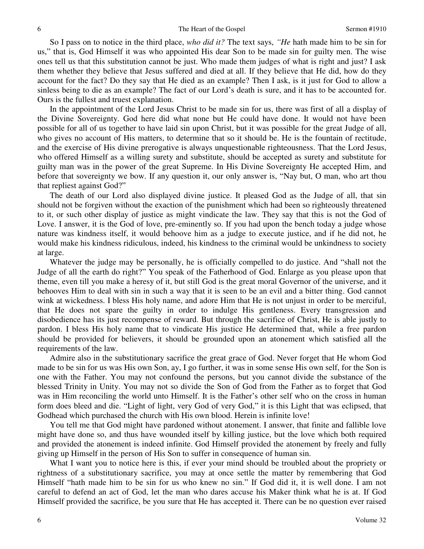So I pass on to notice in the third place, *who did it?* The text says, *"He* hath made him to be sin for us," that is, God Himself it was who appointed His dear Son to be made sin for guilty men. The wise ones tell us that this substitution cannot be just. Who made them judges of what is right and just? I ask them whether they believe that Jesus suffered and died at all. If they believe that He did, how do they account for the fact? Do they say that He died as an example? Then I ask, is it just for God to allow a sinless being to die as an example? The fact of our Lord's death is sure, and it has to be accounted for. Ours is the fullest and truest explanation.

 In the appointment of the Lord Jesus Christ to be made sin for us, there was first of all a display of the Divine Sovereignty. God here did what none but He could have done. It would not have been possible for all of us together to have laid sin upon Christ, but it was possible for the great Judge of all, who gives no account of His matters, to determine that so it should be. He is the fountain of rectitude, and the exercise of His divine prerogative is always unquestionable righteousness. That the Lord Jesus, who offered Himself as a willing surety and substitute, should be accepted as surety and substitute for guilty man was in the power of the great Supreme. In His Divine Sovereignty He accepted Him, and before that sovereignty we bow. If any question it, our only answer is, "Nay but, O man, who art thou that repliest against God?"

 The death of our Lord also displayed divine justice. It pleased God as the Judge of all, that sin should not be forgiven without the exaction of the punishment which had been so righteously threatened to it, or such other display of justice as might vindicate the law. They say that this is not the God of Love. I answer, it is the God of love, pre-eminently so. If you had upon the bench today a judge whose nature was kindness itself, it would behoove him as a judge to execute justice, and if he did not, he would make his kindness ridiculous, indeed, his kindness to the criminal would be unkindness to society at large.

 Whatever the judge may be personally, he is officially compelled to do justice. And "shall not the Judge of all the earth do right?" You speak of the Fatherhood of God. Enlarge as you please upon that theme, even till you make a heresy of it, but still God is the great moral Governor of the universe, and it behooves Him to deal with sin in such a way that it is seen to be an evil and a bitter thing. God cannot wink at wickedness. I bless His holy name, and adore Him that He is not unjust in order to be merciful, that He does not spare the guilty in order to indulge His gentleness. Every transgression and disobedience has its just recompense of reward. But through the sacrifice of Christ, He is able justly to pardon. I bless His holy name that to vindicate His justice He determined that, while a free pardon should be provided for believers, it should be grounded upon an atonement which satisfied all the requirements of the law.

 Admire also in the substitutionary sacrifice the great grace of God. Never forget that He whom God made to be sin for us was His own Son, ay, I go further, it was in some sense His own self, for the Son is one with the Father. You may not confound the persons, but you cannot divide the substance of the blessed Trinity in Unity. You may not so divide the Son of God from the Father as to forget that God was in Him reconciling the world unto Himself. It is the Father's other self who on the cross in human form does bleed and die. "Light of light, very God of very God," it is this Light that was eclipsed, that Godhead which purchased the church with His own blood. Herein is infinite love!

 You tell me that God might have pardoned without atonement. I answer, that finite and fallible love might have done so, and thus have wounded itself by killing justice, but the love which both required and provided the atonement is indeed infinite. God Himself provided the atonement by freely and fully giving up Himself in the person of His Son to suffer in consequence of human sin.

What I want you to notice here is this, if ever your mind should be troubled about the propriety or rightness of a substitutionary sacrifice, you may at once settle the matter by remembering that God Himself "hath made him to be sin for us who knew no sin." If God did it, it is well done. I am not careful to defend an act of God, let the man who dares accuse his Maker think what he is at. If God Himself provided the sacrifice, be you sure that He has accepted it. There can be no question ever raised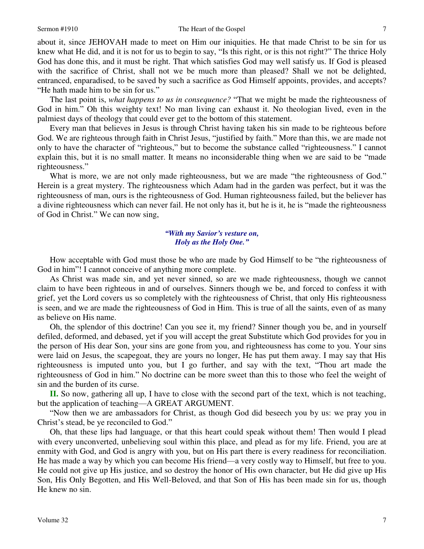### Sermon #1910 **The Heart of the Gospel** 7

about it, since JEHOVAH made to meet on Him our iniquities. He that made Christ to be sin for us knew what He did, and it is not for us to begin to say, "Is this right, or is this not right?" The thrice Holy God has done this, and it must be right. That which satisfies God may well satisfy us. If God is pleased with the sacrifice of Christ, shall not we be much more than pleased? Shall we not be delighted, entranced, enparadised, to be saved by such a sacrifice as God Himself appoints, provides, and accepts? "He hath made him to be sin for us."

 The last point is, *what happens to us in consequence?* "That we might be made the righteousness of God in him." Oh this weighty text! No man living can exhaust it. No theologian lived, even in the palmiest days of theology that could ever get to the bottom of this statement.

 Every man that believes in Jesus is through Christ having taken his sin made to be righteous before God. We are righteous through faith in Christ Jesus, "justified by faith." More than this, we are made not only to have the character of "righteous," but to become the substance called "righteousness." I cannot explain this, but it is no small matter. It means no inconsiderable thing when we are said to be "made righteousness."

What is more, we are not only made righteousness, but we are made "the righteousness of God." Herein is a great mystery. The righteousness which Adam had in the garden was perfect, but it was the righteousness of man, ours is the righteousness of God. Human righteousness failed, but the believer has a divine righteousness which can never fail. He not only has it, but he is it, he is "made the righteousness of God in Christ." We can now sing,

# *"With my Savior's vesture on, Holy as the Holy One."*

How acceptable with God must those be who are made by God Himself to be "the righteousness of God in him"! I cannot conceive of anything more complete.

 As Christ was made sin, and yet never sinned, so are we made righteousness, though we cannot claim to have been righteous in and of ourselves. Sinners though we be, and forced to confess it with grief, yet the Lord covers us so completely with the righteousness of Christ, that only His righteousness is seen, and we are made the righteousness of God in Him. This is true of all the saints, even of as many as believe on His name.

 Oh, the splendor of this doctrine! Can you see it, my friend? Sinner though you be, and in yourself defiled, deformed, and debased, yet if you will accept the great Substitute which God provides for you in the person of His dear Son, your sins are gone from you, and righteousness has come to you. Your sins were laid on Jesus, the scapegoat, they are yours no longer, He has put them away. I may say that His righteousness is imputed unto you, but I go further, and say with the text, "Thou art made the righteousness of God in him." No doctrine can be more sweet than this to those who feel the weight of sin and the burden of its curse.

**II.** So now, gathering all up, I have to close with the second part of the text, which is not teaching, but the application of teaching—A GREAT ARGUMENT.

"Now then we are ambassadors for Christ, as though God did beseech you by us: we pray you in Christ's stead, be ye reconciled to God."

 Oh, that these lips had language, or that this heart could speak without them! Then would I plead with every unconverted, unbelieving soul within this place, and plead as for my life. Friend, you are at enmity with God, and God is angry with you, but on His part there is every readiness for reconciliation. He has made a way by which you can become His friend—a very costly way to Himself, but free to you. He could not give up His justice, and so destroy the honor of His own character, but He did give up His Son, His Only Begotten, and His Well-Beloved, and that Son of His has been made sin for us, though He knew no sin.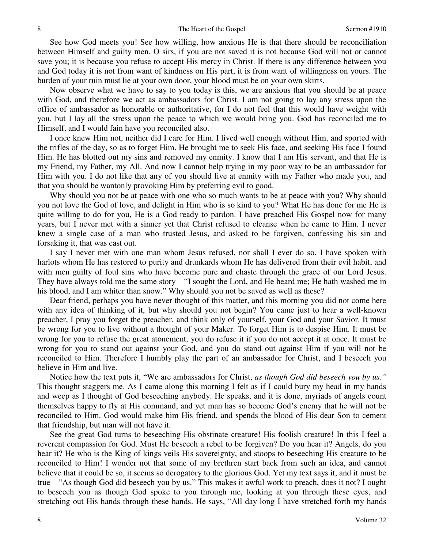See how God meets you! See how willing, how anxious He is that there should be reconciliation between Himself and guilty men. O sirs, if you are not saved it is not because God will not or cannot save you; it is because you refuse to accept His mercy in Christ. If there is any difference between you and God today it is not from want of kindness on His part, it is from want of willingness on yours. The burden of your ruin must lie at your own door, your blood must be on your own skirts.

 Now observe what we have to say to you today is this, we are anxious that you should be at peace with God, and therefore we act as ambassadors for Christ. I am not going to lay any stress upon the office of ambassador as honorable or authoritative, for I do not feel that this would have weight with you, but I lay all the stress upon the peace to which we would bring you. God has reconciled me to Himself, and I would fain have you reconciled also.

 I once knew Him not, neither did I care for Him. I lived well enough without Him, and sported with the trifles of the day, so as to forget Him. He brought me to seek His face, and seeking His face I found Him. He has blotted out my sins and removed my enmity. I know that I am His servant, and that He is my Friend, my Father, my All. And now I cannot help trying in my poor way to be an ambassador for Him with you. I do not like that any of you should live at enmity with my Father who made you, and that you should be wantonly provoking Him by preferring evil to good.

Why should you not be at peace with one who so much wants to be at peace with you? Why should you not love the God of love, and delight in Him who is so kind to you? What He has done for me He is quite willing to do for you, He is a God ready to pardon. I have preached His Gospel now for many years, but I never met with a sinner yet that Christ refused to cleanse when he came to Him. I never knew a single case of a man who trusted Jesus, and asked to be forgiven, confessing his sin and forsaking it, that was cast out.

 I say I never met with one man whom Jesus refused, nor shall I ever do so. I have spoken with harlots whom He has restored to purity and drunkards whom He has delivered from their evil habit, and with men guilty of foul sins who have become pure and chaste through the grace of our Lord Jesus. They have always told me the same story—"I sought the Lord, and He heard me; He hath washed me in his blood, and I am whiter than snow." Why should you not be saved as well as these?

 Dear friend, perhaps you have never thought of this matter, and this morning you did not come here with any idea of thinking of it, but why should you not begin? You came just to hear a well-known preacher, I pray you forget the preacher, and think only of yourself, your God and your Savior. It must be wrong for you to live without a thought of your Maker. To forget Him is to despise Him. It must be wrong for you to refuse the great atonement, you do refuse it if you do not accept it at once. It must be wrong for you to stand out against your God, and you do stand out against Him if you will not be reconciled to Him. Therefore I humbly play the part of an ambassador for Christ, and I beseech you believe in Him and live.

 Notice how the text puts it, "We are ambassadors for Christ, *as though God did beseech you by us."* This thought staggers me. As I came along this morning I felt as if I could bury my head in my hands and weep as I thought of God beseeching anybody. He speaks, and it is done, myriads of angels count themselves happy to fly at His command, and yet man has so become God's enemy that he will not be reconciled to Him. God would make him His friend, and spends the blood of His dear Son to cement that friendship, but man will not have it.

 See the great God turns to beseeching His obstinate creature! His foolish creature! In this I feel a reverent compassion for God. Must He beseech a rebel to be forgiven? Do you hear it? Angels, do you hear it? He who is the King of kings veils His sovereignty, and stoops to beseeching His creature to be reconciled to Him! I wonder not that some of my brethren start back from such an idea, and cannot believe that it could be so, it seems so derogatory to the glorious God. Yet my text says it, and it must be true—"As though God did beseech you by us." This makes it awful work to preach, does it not? I ought to beseech you as though God spoke to you through me, looking at you through these eyes, and stretching out His hands through these hands. He says, "All day long I have stretched forth my hands